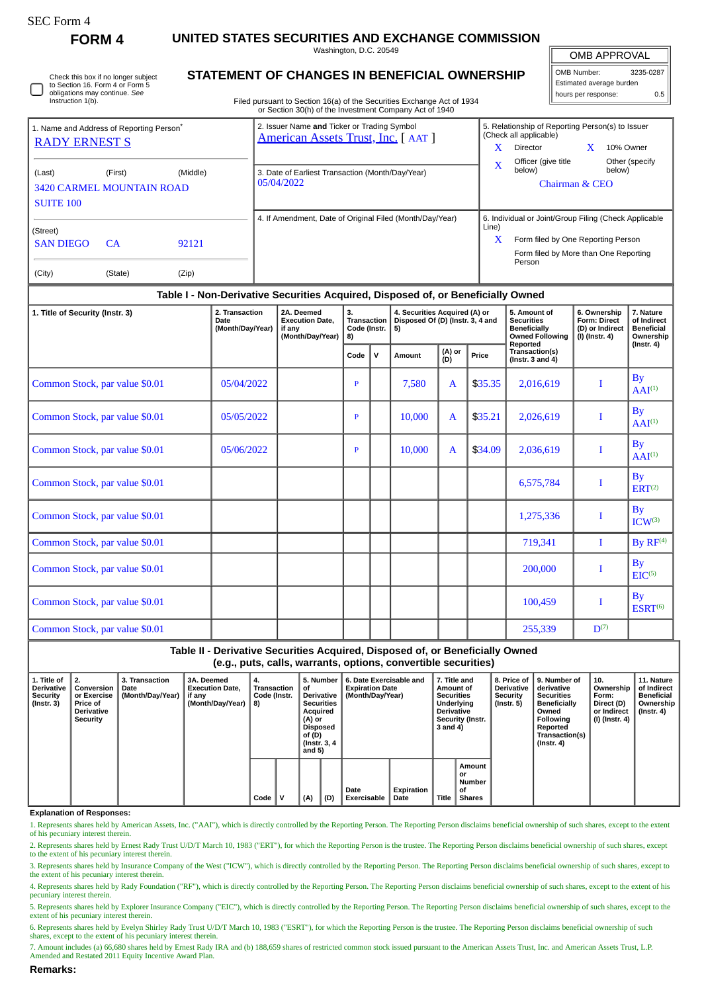| SEC Form- |
|-----------|
|-----------|

Instruction 1(b).

Check this box if no longer subject to Section 16. Form 4 or Form 5 obligations may continue. *See*

**FORM 4 UNITED STATES SECURITIES AND EXCHANGE COMMISSION**

Washington, D.C. 20549 **STATEMENT OF CHANGES IN BENEFICIAL OWNERSHIP**

Filed pursuant to Section 16(a) of the Securities Exchange Act of 1934

OMB APPROVAL

| OMB Number:<br>3235-0287 |     |  |  |  |  |  |  |  |  |
|--------------------------|-----|--|--|--|--|--|--|--|--|
| Estimated average burden |     |  |  |  |  |  |  |  |  |
| hours per response:      | 0.5 |  |  |  |  |  |  |  |  |

|                                                                                       |                      |                | $\frac{1}{1}$ incarbation to be seen to the construct contained that of 1904<br>or Section 30(h) of the Investment Company Act of 1940 |                                                                                                                                                              |
|---------------------------------------------------------------------------------------|----------------------|----------------|----------------------------------------------------------------------------------------------------------------------------------------|--------------------------------------------------------------------------------------------------------------------------------------------------------------|
| 1. Name and Address of Reporting Person <sup>®</sup><br><b>RADY ERNEST S</b>          |                      |                | 2. Issuer Name and Ticker or Trading Symbol<br>American Assets Trust, Inc. [AAT]                                                       | 5. Relationship of Reporting Person(s) to Issuer<br>(Check all applicable)<br>10% Owner<br>Director                                                          |
| (Middle)<br>(Last)<br>(First)<br><b>3420 CARMEL MOUNTAIN ROAD</b><br><b>SUITE 100</b> |                      |                | 3. Date of Earliest Transaction (Month/Day/Year)<br>05/04/2022                                                                         | Officer (give title)<br>Other (specify<br>below)<br>below)<br>Chairman & CEO                                                                                 |
| (Street)<br><b>SAN DIEGO</b><br>(City)                                                | <b>CA</b><br>(State) | 92121<br>(Zip) | 4. If Amendment, Date of Original Filed (Month/Day/Year)                                                                               | 6. Individual or Joint/Group Filing (Check Applicable<br>Line)<br>x<br>Form filed by One Reporting Person<br>Form filed by More than One Reporting<br>Person |

### **Table I - Non-Derivative Securities Acquired, Disposed of, or Beneficially Owned**

| 1. Title of Security (Instr. 3) | 2. Transaction<br>Date<br>(Month/Day/Year) | 2A. Deemed<br><b>Execution Date,</b><br>if any<br>(Month/Day/Year) | 3.<br>Transaction<br>Code (Instr.  <br>8) |             | 4. Securities Acquired (A) or<br>Disposed Of (D) (Instr. 3, 4 and<br>5) |               |         | 5. Amount of<br><b>Securities</b><br><b>Beneficially</b><br><b>Owned Following</b><br>Reported | 6. Ownership<br>Form: Direct<br>(D) or Indirect<br>(I) (Instr. 4) | 7. Nature<br>of Indirect<br><b>Beneficial</b><br>Ownership<br>$($ Instr. 4 $)$ |  |
|---------------------------------|--------------------------------------------|--------------------------------------------------------------------|-------------------------------------------|-------------|-------------------------------------------------------------------------|---------------|---------|------------------------------------------------------------------------------------------------|-------------------------------------------------------------------|--------------------------------------------------------------------------------|--|
|                                 |                                            |                                                                    | Code                                      | $\mathbf v$ | Amount                                                                  | (A) or<br>(D) | Price   | Transaction(s)<br>(Instr. $3$ and $4$ )                                                        |                                                                   |                                                                                |  |
| Common Stock, par value \$0.01  | 05/04/2022                                 |                                                                    | P                                         |             | 7,580                                                                   | $\mathbf{A}$  | \$35.35 | 2,016,619                                                                                      | I                                                                 | <b>By</b><br>$AAI^{(1)}$                                                       |  |
| Common Stock, par value \$0.01  | 05/05/2022                                 |                                                                    | P                                         |             | 10,000                                                                  | $\mathbf{A}$  | \$35.21 | 2,026,619                                                                                      | $\bf{I}$                                                          | <b>By</b><br>$AAI^{(1)}$                                                       |  |
| Common Stock, par value \$0.01  | 05/06/2022                                 |                                                                    | P                                         |             | 10.000                                                                  | $\mathbf{A}$  | \$34.09 | 2,036,619                                                                                      | I                                                                 | <b>By</b><br>$AAI^{(1)}$                                                       |  |
| Common Stock, par value \$0.01  |                                            |                                                                    |                                           |             |                                                                         |               |         | 6,575,784                                                                                      | I                                                                 | <b>By</b><br>ERT <sup>(2)</sup>                                                |  |
| Common Stock, par value \$0.01  |                                            |                                                                    |                                           |             |                                                                         |               |         | 1,275,336                                                                                      | I                                                                 | $\mathbf{B}\mathbf{v}$<br>$ICW^{(3)}$                                          |  |
| Common Stock, par value \$0.01  |                                            |                                                                    |                                           |             |                                                                         |               |         | 719,341                                                                                        | I                                                                 | By $RF(4)$                                                                     |  |
| Common Stock, par value \$0.01  |                                            |                                                                    |                                           |             |                                                                         |               |         | 200,000                                                                                        | I                                                                 | <b>By</b><br>EIC <sup>(5)</sup>                                                |  |
| Common Stock, par value \$0.01  |                                            |                                                                    |                                           |             |                                                                         |               |         | 100,459                                                                                        | I                                                                 | <b>By</b><br>ESRT <sup>(6)</sup>                                               |  |
| Common Stock, par value \$0.01  |                                            |                                                                    |                                           |             |                                                                         |               |         | 255,339                                                                                        | $D^{(7)}$                                                         |                                                                                |  |

# **Table II - Derivative Securities Acquired, Disposed of, or Beneficially Owned (e.g., puts, calls, warrants, options, convertible securities)**

| 1. Title of<br><b>Derivative</b><br>Security<br>$($ Instr. 3 $)$ | ່ 2.<br>Conversion<br>or Exercise<br>Price of<br><b>Derivative</b><br>Security | <b>3. Transaction</b><br>Date<br>(Month/Day/Year) | <b>3A. Deemed</b><br><b>Execution Date,</b><br>$\parallel$ if any<br>(Month/Day/Year) | 4.<br>Transaction<br>Code (Instr.<br>8) |  | 5. Number<br>οf<br><b>Derivative</b><br><b>Securities</b><br>Acquired<br>(A) or<br>Disposed<br>of (D)<br>(Instr. 3, 4)<br>and $5)$ |     | 6. Date Exercisable and<br><b>Expiration Date</b><br>(Month/Day/Year) |                    | 7. Title and<br>Amount of<br><b>Securities</b><br>Underlying<br><b>Derivative</b><br>Security (Instr.<br>3 and 4) |                                               | <b>Derivative</b><br>Security<br>(Instr. 5) | 8. Price of 19. Number of<br>derivative<br>Securities<br><b>Beneficially</b><br>Owned<br>Following<br>Reported<br>Transaction(s)<br>$($ Instr. 4 $)$ | 10.<br>Ownership<br>Form:<br>Direct (D)<br>or Indirect<br>  (I) (Instr. 4) | 11. Nature<br>of Indirect<br><b>Beneficial</b><br>Ownership<br>$($ Instr. 4 $)$ |
|------------------------------------------------------------------|--------------------------------------------------------------------------------|---------------------------------------------------|---------------------------------------------------------------------------------------|-----------------------------------------|--|------------------------------------------------------------------------------------------------------------------------------------|-----|-----------------------------------------------------------------------|--------------------|-------------------------------------------------------------------------------------------------------------------|-----------------------------------------------|---------------------------------------------|------------------------------------------------------------------------------------------------------------------------------------------------------|----------------------------------------------------------------------------|---------------------------------------------------------------------------------|
|                                                                  |                                                                                |                                                   |                                                                                       | Code                                    |  | (A)                                                                                                                                | (D) | Date<br><b>Exercisable</b>                                            | Expiration<br>Date | <b>Title</b>                                                                                                      | Amount<br>or<br>Number<br>οf<br><b>Shares</b> |                                             |                                                                                                                                                      |                                                                            |                                                                                 |

#### **Explanation of Responses:**

1. Represents shares held by American Assets, Inc. ("AAI"), which is directly controlled by the Reporting Person. The Reporting Person disclaims beneficial ownership of such shares, except to the extent of his pecuniary interest therein.

2. Represents shares held by Ernest Rady Trust U/D/T March 10, 1983 ("ERT"), for which the Reporting Person is the trustee. The Reporting Person disclaims beneficial ownership of such shares, except to the extent of his pecuniary interest therein.

3. Represents shares held by Insurance Company of the West ("ICW"), which is directly controlled by the Reporting Person. The Reporting Person disclaims beneficial ownership of such shares, except to the extent of his pecuniary interest therein.

4. Represents shares held by Rady Foundation ("RF"), which is directly controlled by the Reporting Person. The Reporting Person disclaims beneficial ownership of such shares, except to the extent of his pecuniary interest therein.

5. Represents shares held by Explorer Insurance Company ("EIC"), which is directly controlled by the Reporting Person. The Reporting Person disclaims beneficial ownership of such shares, except to the extent of his pecuniary interest therein.

6. Represents shares held by Evelyn Shirley Rady Trust U/D/T March 10, 1983 ("ESRT"), for which the Reporting Person is the trustee. The Reporting Person disclaims beneficial ownership of such<br>shares, except to the extent

7. Amount includes (a) 66,680 shares held by Ernest Rady IRA and (b) 188,659 shares of restricted common stock issued pursuant to the American Assets Trust, Inc. and American Assets Trust, L.P. Amended and Restated 2011 Equity Incentive Award Plan.

# **Remarks:**